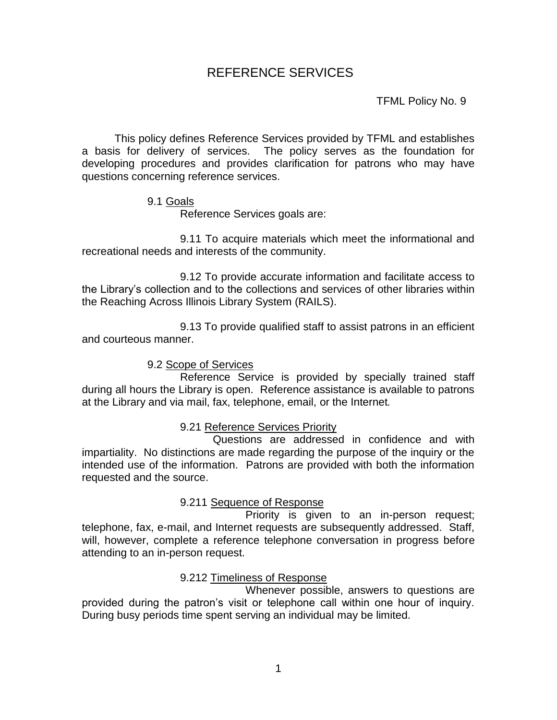# REFERENCE SERVICES

TFML Policy No. 9

This policy defines Reference Services provided by TFML and establishes a basis for delivery of services. The policy serves as the foundation for developing procedures and provides clarification for patrons who may have questions concerning reference services.

### 9.1 Goals

Reference Services goals are:

9.11 To acquire materials which meet the informational and recreational needs and interests of the community.

9.12 To provide accurate information and facilitate access to the Library's collection and to the collections and services of other libraries within the Reaching Across Illinois Library System (RAILS).

9.13 To provide qualified staff to assist patrons in an efficient and courteous manner.

9.2 Scope of Services

Reference Service is provided by specially trained staff during all hours the Library is open. Reference assistance is available to patrons at the Library and via mail, fax, telephone, email, or the Internet*.*

9.21 Reference Services Priority

Questions are addressed in confidence and with impartiality. No distinctions are made regarding the purpose of the inquiry or the intended use of the information. Patrons are provided with both the information requested and the source.

## 9.211 Sequence of Response

Priority is given to an in-person request; telephone, fax, e-mail, and Internet requests are subsequently addressed. Staff, will, however, complete a reference telephone conversation in progress before attending to an in-person request.

## 9.212 Timeliness of Response

Whenever possible, answers to questions are provided during the patron's visit or telephone call within one hour of inquiry. During busy periods time spent serving an individual may be limited.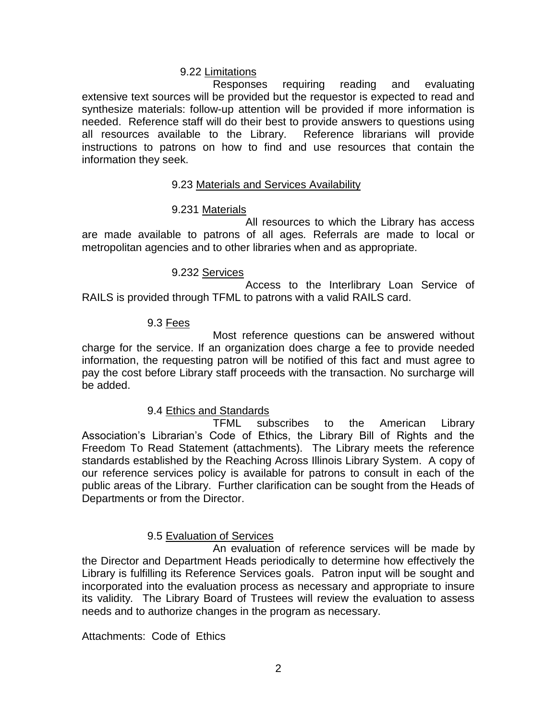### 9.22 Limitations

Responses requiring reading and evaluating extensive text sources will be provided but the requestor is expected to read and synthesize materials: follow-up attention will be provided if more information is needed. Reference staff will do their best to provide answers to questions using all resources available to the Library. Reference librarians will provide instructions to patrons on how to find and use resources that contain the information they seek.

### 9.23 Materials and Services Availability

### 9.231 Materials

All resources to which the Library has access are made available to patrons of all ages*.* Referrals are made to local or metropolitan agencies and to other libraries when and as appropriate.

### 9.232 Services

Access to the Interlibrary Loan Service of RAILS is provided through TFML to patrons with a valid RAILS card.

### 9.3 Fees

Most reference questions can be answered without charge for the service. If an organization does charge a fee to provide needed information, the requesting patron will be notified of this fact and must agree to pay the cost before Library staff proceeds with the transaction. No surcharge will be added.

## 9.4 Ethics and Standards

TFML subscribes to the American Library Association's Librarian's Code of Ethics, the Library Bill of Rights and the Freedom To Read Statement (attachments). The Library meets the reference standards established by the Reaching Across Illinois Library System. A copy of our reference services policy is available for patrons to consult in each of the public areas of the Library. Further clarification can be sought from the Heads of Departments or from the Director.

## 9.5 Evaluation of Services

An evaluation of reference services will be made by the Director and Department Heads periodically to determine how effectively the Library is fulfilling its Reference Services goals. Patron input will be sought and incorporated into the evaluation process as necessary and appropriate to insure its validity*.* The Library Board of Trustees will review the evaluation to assess needs and to authorize changes in the program as necessary.

Attachments: Code of Ethics